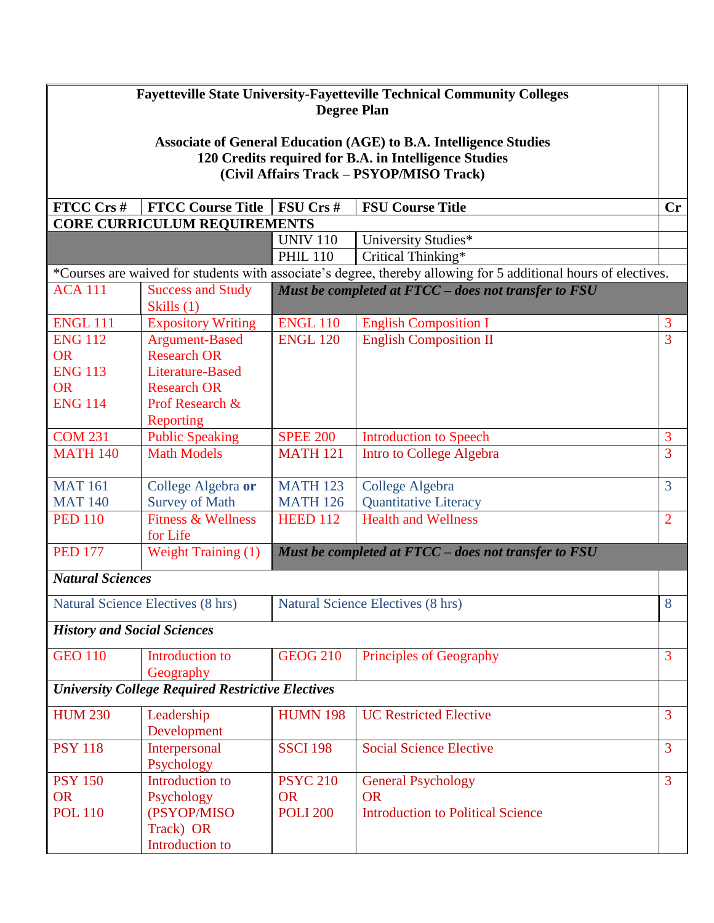## **Fayetteville State University-Fayetteville Technical Community Colleges Degree Plan**

## **Associate of General Education (AGE) to B.A. Intelligence Studies 120 Credits required for B.A. in Intelligence Studies (Civil Affairs Track – PSYOP/MISO Track)**

| FTCC Crs #                         | <b>FTCC Course Title</b>                                 | FSU Crs #                                | <b>FSU Course Title</b>                                                                                         | Cr             |  |  |
|------------------------------------|----------------------------------------------------------|------------------------------------------|-----------------------------------------------------------------------------------------------------------------|----------------|--|--|
|                                    | <b>CORE CURRICULUM REQUIREMENTS</b>                      |                                          |                                                                                                                 |                |  |  |
|                                    |                                                          | <b>UNIV 110</b>                          | University Studies*                                                                                             |                |  |  |
|                                    |                                                          | <b>PHIL 110</b>                          | Critical Thinking*                                                                                              |                |  |  |
|                                    |                                                          |                                          | *Courses are waived for students with associate's degree, thereby allowing for 5 additional hours of electives. |                |  |  |
| <b>ACA 111</b>                     | <b>Success and Study</b>                                 |                                          | Must be completed at FTCC - does not transfer to FSU                                                            |                |  |  |
|                                    | Skills (1)                                               |                                          |                                                                                                                 |                |  |  |
| <b>ENGL 111</b>                    | <b>Expository Writing</b>                                | <b>ENGL 110</b>                          | <b>English Composition I</b>                                                                                    | 3              |  |  |
| <b>ENG 112</b>                     | <b>Argument-Based</b>                                    | <b>ENGL 120</b>                          | <b>English Composition II</b>                                                                                   | 3              |  |  |
| <b>OR</b>                          | <b>Research OR</b>                                       |                                          |                                                                                                                 |                |  |  |
| <b>ENG 113</b>                     | Literature-Based                                         |                                          |                                                                                                                 |                |  |  |
| <b>OR</b>                          | <b>Research OR</b>                                       |                                          |                                                                                                                 |                |  |  |
| <b>ENG 114</b>                     | Prof Research &                                          |                                          |                                                                                                                 |                |  |  |
|                                    | Reporting                                                |                                          |                                                                                                                 |                |  |  |
| <b>COM 231</b>                     | <b>Public Speaking</b>                                   | <b>SPEE 200</b>                          | <b>Introduction to Speech</b>                                                                                   | 3              |  |  |
| <b>MATH 140</b>                    | <b>Math Models</b>                                       | <b>MATH 121</b>                          | <b>Intro to College Algebra</b>                                                                                 | 3              |  |  |
| <b>MAT 161</b>                     | College Algebra or                                       | <b>MATH 123</b>                          | College Algebra                                                                                                 | 3              |  |  |
| <b>MAT 140</b>                     | <b>Survey of Math</b>                                    | <b>MATH 126</b>                          | <b>Quantitative Literacy</b>                                                                                    |                |  |  |
| <b>PED 110</b>                     | <b>Fitness &amp; Wellness</b>                            | <b>HEED 112</b>                          | <b>Health and Wellness</b>                                                                                      | $\overline{2}$ |  |  |
|                                    | for Life                                                 |                                          |                                                                                                                 |                |  |  |
| <b>PED 177</b>                     | Weight Training (1)                                      |                                          | Must be completed at FTCC - does not transfer to FSU                                                            |                |  |  |
| <b>Natural Sciences</b>            |                                                          |                                          |                                                                                                                 |                |  |  |
| Natural Science Electives (8 hrs)  |                                                          | <b>Natural Science Electives (8 hrs)</b> |                                                                                                                 | 8              |  |  |
| <b>History and Social Sciences</b> |                                                          |                                          |                                                                                                                 |                |  |  |
| <b>GEO 110</b>                     | Introduction to                                          | <b>GEOG 210</b>                          | Principles of Geography                                                                                         | 3              |  |  |
|                                    | Geography                                                |                                          |                                                                                                                 |                |  |  |
|                                    | <b>University College Required Restrictive Electives</b> |                                          |                                                                                                                 |                |  |  |
| <b>HUM 230</b>                     | Leadership                                               | <b>HUMN 198</b>                          | <b>UC Restricted Elective</b>                                                                                   | $\overline{3}$ |  |  |
|                                    | Development                                              |                                          |                                                                                                                 |                |  |  |
| <b>PSY 118</b>                     | Interpersonal                                            | <b>SSCI 198</b>                          | <b>Social Science Elective</b>                                                                                  | $\overline{3}$ |  |  |
|                                    | Psychology                                               |                                          |                                                                                                                 |                |  |  |
| <b>PSY 150</b>                     | Introduction to                                          | <b>PSYC 210</b>                          | <b>General Psychology</b>                                                                                       | $\overline{3}$ |  |  |
| <b>OR</b>                          | Psychology                                               | <b>OR</b>                                | <b>OR</b>                                                                                                       |                |  |  |
| <b>POL 110</b>                     | (PSYOP/MISO                                              | <b>POLI 200</b>                          | <b>Introduction to Political Science</b>                                                                        |                |  |  |
|                                    | Track) OR                                                |                                          |                                                                                                                 |                |  |  |
|                                    | Introduction to                                          |                                          |                                                                                                                 |                |  |  |
|                                    |                                                          |                                          |                                                                                                                 |                |  |  |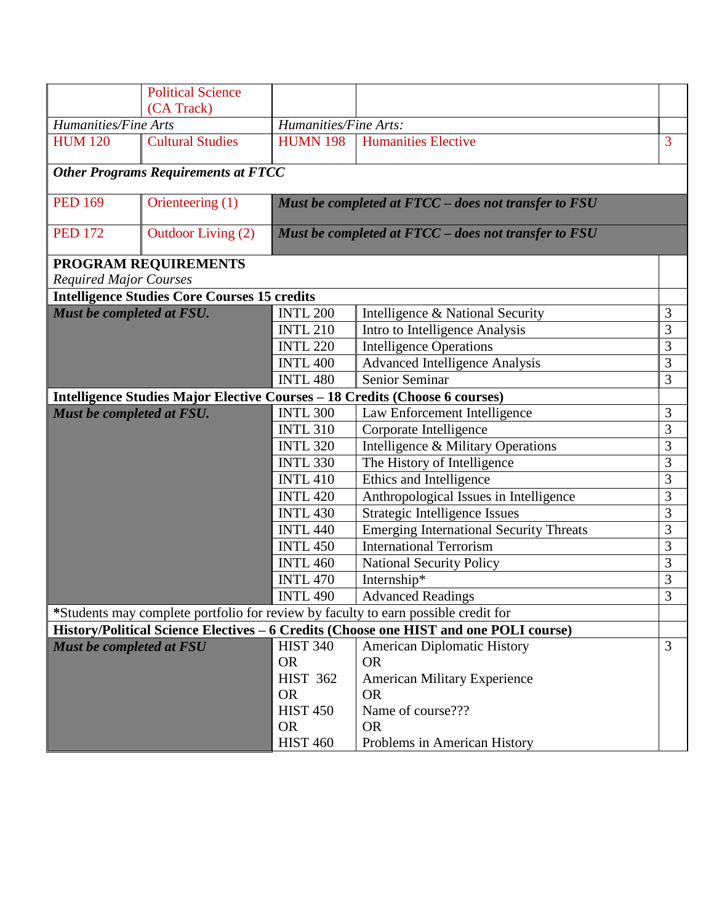|                               | <b>Political Science</b>                            |                                                      |                                                                                       |   |
|-------------------------------|-----------------------------------------------------|------------------------------------------------------|---------------------------------------------------------------------------------------|---|
|                               | (CA Track)                                          |                                                      |                                                                                       |   |
| Humanities/Fine Arts          |                                                     | Humanities/Fine Arts:                                |                                                                                       |   |
| <b>HUM 120</b>                | <b>Cultural Studies</b>                             | <b>HUMN 198</b>                                      | <b>Humanities Elective</b>                                                            | 3 |
|                               | <b>Other Programs Requirements at FTCC</b>          |                                                      |                                                                                       |   |
| <b>PED 169</b>                | Orienteering (1)                                    | Must be completed at FTCC - does not transfer to FSU |                                                                                       |   |
| <b>PED 172</b>                | Outdoor Living (2)                                  | Must be completed at FTCC - does not transfer to FSU |                                                                                       |   |
|                               | PROGRAM REQUIREMENTS                                |                                                      |                                                                                       |   |
| <b>Required Major Courses</b> |                                                     |                                                      |                                                                                       |   |
|                               | <b>Intelligence Studies Core Courses 15 credits</b> |                                                      |                                                                                       |   |
| Must be completed at FSU.     |                                                     | <b>INTL 200</b>                                      | Intelligence & National Security                                                      | 3 |
|                               |                                                     | <b>INTL 210</b>                                      | Intro to Intelligence Analysis                                                        | 3 |
|                               |                                                     | <b>INTL 220</b>                                      | <b>Intelligence Operations</b>                                                        | 3 |
|                               |                                                     | <b>INTL 400</b>                                      | <b>Advanced Intelligence Analysis</b>                                                 | 3 |
|                               |                                                     | <b>INTL 480</b>                                      | Senior Seminar                                                                        | 3 |
|                               |                                                     |                                                      | Intelligence Studies Major Elective Courses - 18 Credits (Choose 6 courses)           |   |
| Must be completed at FSU.     |                                                     | <b>INTL 300</b>                                      | Law Enforcement Intelligence                                                          | 3 |
|                               |                                                     | <b>INTL 310</b>                                      | Corporate Intelligence                                                                | 3 |
|                               |                                                     | <b>INTL 320</b>                                      | Intelligence & Military Operations                                                    | 3 |
|                               |                                                     | <b>INTL 330</b>                                      | The History of Intelligence                                                           | 3 |
|                               |                                                     | <b>INTL 410</b>                                      | Ethics and Intelligence                                                               | 3 |
|                               |                                                     | <b>INTL 420</b>                                      | Anthropological Issues in Intelligence                                                | 3 |
|                               |                                                     | <b>INTL 430</b>                                      | Strategic Intelligence Issues                                                         | 3 |
|                               |                                                     | <b>INTL 440</b>                                      | <b>Emerging International Security Threats</b>                                        | 3 |
|                               |                                                     | <b>INTL 450</b>                                      | <b>International Terrorism</b>                                                        | 3 |
|                               |                                                     | <b>INTL 460</b>                                      | <b>National Security Policy</b>                                                       | 3 |
|                               |                                                     | <b>INTL 470</b>                                      | Internship*                                                                           | 3 |
|                               |                                                     | <b>INTL 490</b>                                      | <b>Advanced Readings</b>                                                              | 3 |
|                               |                                                     |                                                      | *Students may complete portfolio for review by faculty to earn possible credit for    |   |
|                               |                                                     |                                                      | History/Political Science Electives - 6 Credits (Choose one HIST and one POLI course) |   |
| Must be completed at FSU      |                                                     | <b>HIST 340</b>                                      | <b>American Diplomatic History</b>                                                    | 3 |
|                               |                                                     | <b>OR</b>                                            | <b>OR</b>                                                                             |   |
|                               |                                                     | <b>HIST 362</b>                                      | <b>American Military Experience</b>                                                   |   |
|                               |                                                     | <b>OR</b>                                            | <b>OR</b>                                                                             |   |
|                               |                                                     | <b>HIST 450</b>                                      | Name of course???                                                                     |   |
|                               |                                                     | <b>OR</b>                                            | <b>OR</b>                                                                             |   |
|                               |                                                     | <b>HIST 460</b>                                      | Problems in American History                                                          |   |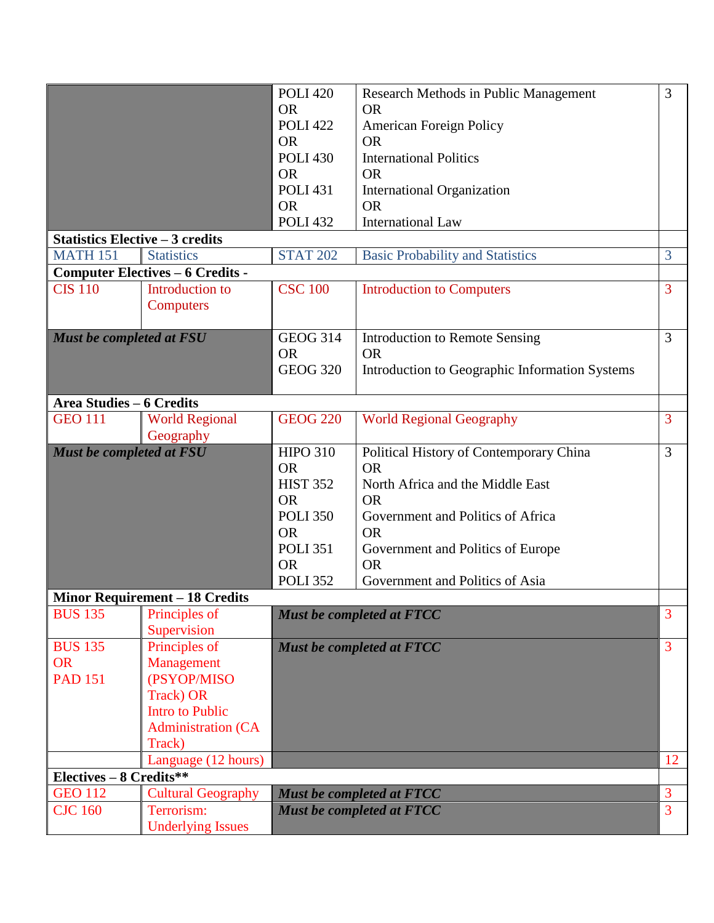|                                               |                                                                                                                                                 | <b>POLI 420</b><br><b>OR</b><br><b>POLI 422</b><br><b>OR</b><br><b>POLI 430</b><br><b>OR</b><br><b>POLI 431</b>                                 | Research Methods in Public Management<br>OR.<br>American Foreign Policy<br><b>OR</b><br><b>International Politics</b><br><b>OR</b><br>International Organization                                                                             | 3                    |
|-----------------------------------------------|-------------------------------------------------------------------------------------------------------------------------------------------------|-------------------------------------------------------------------------------------------------------------------------------------------------|----------------------------------------------------------------------------------------------------------------------------------------------------------------------------------------------------------------------------------------------|----------------------|
|                                               |                                                                                                                                                 | <b>OR</b><br><b>POLI 432</b>                                                                                                                    | <b>OR</b><br><b>International Law</b>                                                                                                                                                                                                        |                      |
| <b>Statistics Elective - 3 credits</b>        |                                                                                                                                                 |                                                                                                                                                 |                                                                                                                                                                                                                                              |                      |
| <b>MATH 151</b>                               | <b>Statistics</b>                                                                                                                               | <b>STAT 202</b>                                                                                                                                 | <b>Basic Probability and Statistics</b>                                                                                                                                                                                                      | 3                    |
|                                               | <b>Computer Electives - 6 Credits -</b>                                                                                                         |                                                                                                                                                 |                                                                                                                                                                                                                                              |                      |
| <b>CIS 110</b>                                | Introduction to<br>Computers                                                                                                                    | <b>CSC 100</b>                                                                                                                                  | <b>Introduction to Computers</b>                                                                                                                                                                                                             | 3                    |
| Must be completed at FSU                      |                                                                                                                                                 | <b>GEOG 314</b><br><b>OR</b><br><b>GEOG 320</b>                                                                                                 | <b>Introduction to Remote Sensing</b><br><b>OR</b><br>Introduction to Geographic Information Systems                                                                                                                                         | 3                    |
| <b>Area Studies - 6 Credits</b>               |                                                                                                                                                 |                                                                                                                                                 |                                                                                                                                                                                                                                              |                      |
| <b>GEO 111</b>                                | <b>World Regional</b>                                                                                                                           | <b>GEOG 220</b>                                                                                                                                 | <b>World Regional Geography</b>                                                                                                                                                                                                              | 3                    |
|                                               | Geography                                                                                                                                       |                                                                                                                                                 |                                                                                                                                                                                                                                              |                      |
| Must be completed at FSU                      |                                                                                                                                                 | <b>HIPO 310</b><br><b>OR</b><br><b>HIST 352</b><br><b>OR</b><br><b>POLI 350</b><br><b>OR</b><br><b>POLI 351</b><br><b>OR</b><br><b>POLI 352</b> | Political History of Contemporary China<br><b>OR</b><br>North Africa and the Middle East<br><b>OR</b><br>Government and Politics of Africa<br><b>OR</b><br>Government and Politics of Europe<br><b>OR</b><br>Government and Politics of Asia | 3                    |
|                                               | <b>Minor Requirement - 18 Credits</b>                                                                                                           |                                                                                                                                                 |                                                                                                                                                                                                                                              |                      |
| <b>BUS 135</b>                                | Principles of<br>Supervision                                                                                                                    |                                                                                                                                                 | <b>Must be completed at FTCC</b>                                                                                                                                                                                                             | 3                    |
| <b>BUS 135</b><br><b>OR</b><br><b>PAD 151</b> | Principles of<br>Management<br>(PSYOP/MISO<br>Track) OR<br><b>Intro to Public</b><br><b>Administration (CA</b><br>Track)<br>Language (12 hours) |                                                                                                                                                 | Must be completed at FTCC                                                                                                                                                                                                                    | $\overline{3}$<br>12 |
| Electives - 8 Credits**                       |                                                                                                                                                 |                                                                                                                                                 |                                                                                                                                                                                                                                              |                      |
| <b>GEO 112</b>                                | <b>Cultural Geography</b>                                                                                                                       |                                                                                                                                                 | Must be completed at FTCC                                                                                                                                                                                                                    | 3                    |
| <b>CJC 160</b>                                | Terrorism:<br><b>Underlying Issues</b>                                                                                                          |                                                                                                                                                 | <b>Must be completed at FTCC</b>                                                                                                                                                                                                             | 3                    |